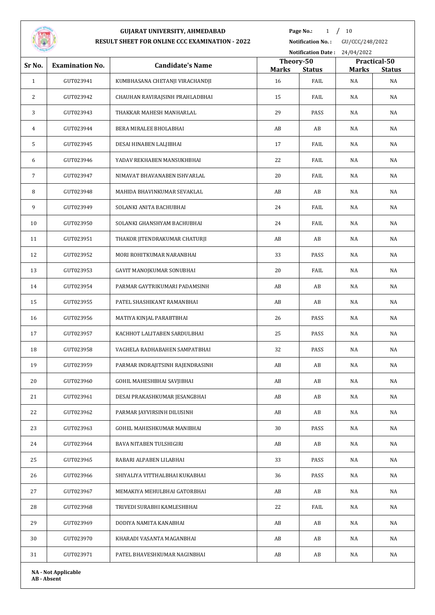

**Page No.:** 1 / 10

**Notification No. :** GU/CCC/248/2022 **Notification Date :** 24/04/2022

| Sr No.         | <b>Examination No.</b>     | <b>Candidate's Name</b>          | Theory-50          |               |              | Practical-50        |
|----------------|----------------------------|----------------------------------|--------------------|---------------|--------------|---------------------|
| $\mathbf{1}$   |                            |                                  | <b>Marks</b><br>16 | <b>Status</b> | <b>Marks</b> | <b>Status</b><br>NA |
|                | GUT023941                  | KUMBHASANA CHETANJI VIRACHANDJI  |                    | FAIL          | NA           |                     |
| 2              | GUT023942                  | CHAUHAN RAVIRAJSINH PRAHLADBHAI  | 15                 | FAIL          | NA           | NA                  |
| 3              | GUT023943                  | THAKKAR MAHESH MANHARLAL         | 29                 | PASS          | NA           | NA                  |
| $\overline{4}$ | GUT023944                  | BERA MIRALEE BHOLABHAI           | AB                 | AB            | NA           | NA                  |
| 5              | GUT023945                  | DESAI HINABEN LALJIBHAI          | 17                 | FAIL          | NA           | NA                  |
| 6              | GUT023946                  | YADAV REKHABEN MANSUKHBHAI       | 22                 | FAIL          | NA           | NA                  |
| 7              | GUT023947                  | NIMAVAT BHAVANABEN ISHVARLAL     | 20                 | FAIL          | NA           | NA                  |
| 8              | GUT023948                  | MAHIDA BHAVINKUMAR SEVAKLAL      | AB                 | AB            | NA           | NA                  |
| 9              | GUT023949                  | SOLANKI ANITA BACHUBHAI          | 24                 | FAIL          | NA           | NA                  |
| 10             | GUT023950                  | SOLANKI GHANSHYAM BACHUBHAI      | 24                 | FAIL          | NA           | NA                  |
| 11             | GUT023951                  | THAKOR JITENDRAKUMAR CHATURJI    | AB                 | AB            | NA           | NA                  |
| 12             | GUT023952                  | MORI ROHITKUMAR NARANBHAI        | 33                 | PASS          | NA           | NA                  |
| 13             | GUT023953                  | GAVIT MANOJKUMAR SONUBHAI        | 20                 | FAIL          | NA           | NA                  |
| 14             | GUT023954                  | PARMAR GAYTRIKUMARI PADAMSINH    | AB                 | AB            | NA           | NA                  |
| 15             | GUT023955                  | PATEL SHASHIKANT RAMANBHAI       | AB                 | AB            | NA           | NA                  |
| 16             | GUT023956                  | MATIYA KINJAL PARABTBHAI         | 26                 | PASS          | NA           | NA                  |
| 17             | GUT023957                  | KACHHOT LALITABEN SARDULBHAI     | 25                 | PASS          | NA           | NA                  |
| 18             | GUT023958                  | VAGHELA RADHABAHEN SAMPATBHAI    | 32                 | PASS          | NA           | NA                  |
| 19             | GUT023959                  | PARMAR INDRAJITSINH RAJENDRASINH | AB                 | AB            | NA           | NA                  |
| 20             | GUT023960                  | GOHIL MAHESHBHAI SAVJIBHAI       | AB                 | AB            | NA           | NA                  |
| 21             | GUT023961                  | DESAI PRAKASHKUMAR JESANGBHAI    | AB                 | AB            | NA           | NA                  |
| 22             | GUT023962                  | PARMAR JAYVIRSINH DILUSINH       | AB                 | AB            | NA           | NA                  |
| 23             | GUT023963                  | GOHEL MAHESHKUMAR MANIBHAI       | 30                 | PASS          | NA           | NA                  |
| 24             | GUT023964                  | BAVA NITABEN TULSHIGIRI          | AB                 | AB            | NA           | NA                  |
| 25             | GUT023965                  | RABARI ALPABEN LILABHAI          | 33                 | PASS          | NA           | NA                  |
| 26             | GUT023966                  | SHIYALIYA VITTHALBHAI KUKABHAI   | 36                 | PASS          | NA           | NA                  |
| 27             | GUT023967                  | MEMAKIYA MEHULBHAI GATORBHAI     | AB                 | AB            | NA           | NA                  |
| 28             | GUT023968                  | TRIVEDI SURABHI KAMLESHBHAI      | 22                 | FAIL          | NA           | NA                  |
| 29             | GUT023969                  | DODIYA NAMITA KANABHAI           | AB                 | AB            | NA           | NA                  |
| 30             | GUT023970                  | KHARADI VASANTA MAGANBHAI        | AB                 | AB            | NA           | NA                  |
| 31             | GUT023971                  | PATEL BHAVESHKUMAR NAGINBHAI     | AB                 | AB            | NA           | NA                  |
|                | <b>NA</b> - Not Applicable |                                  |                    |               |              |                     |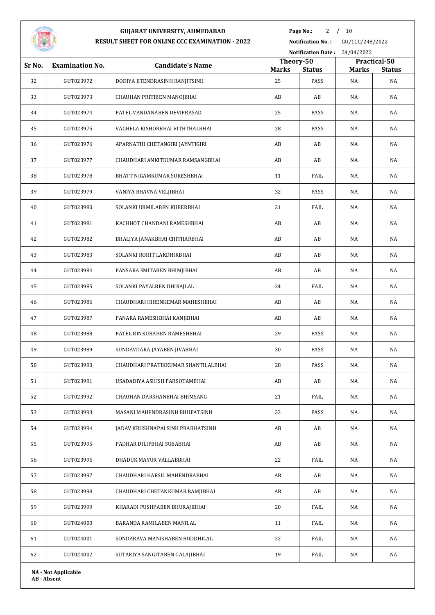

Page No.: 2 / 10

**Notification No. :** GU/CCC/248/2022

|        |                            |                                     |                    |                       | Notification Date: 24/04/2022 |                     |  |  |
|--------|----------------------------|-------------------------------------|--------------------|-----------------------|-------------------------------|---------------------|--|--|
| Sr No. | <b>Examination No.</b>     | <b>Candidate's Name</b>             | Theory-50          |                       |                               | Practical-50        |  |  |
| 32     | GUT023972                  | DODIYA JITENDRASINH RANJITSINH      | <b>Marks</b><br>25 | <b>Status</b><br>PASS | <b>Marks</b><br>NA            | <b>Status</b><br>NA |  |  |
| 33     | GUT023973                  | CHAUHAN PRITIBEN MANOJBHAI          | AB                 | AB                    | NA                            | NA                  |  |  |
|        |                            |                                     | 25                 |                       |                               |                     |  |  |
| 34     | GUT023974                  | PATEL VANDANABEN DEVIPRASAD         |                    | PASS                  | NA                            | NA                  |  |  |
| 35     | GUT023975                  | VAGHELA KISHORBHAI VITHTHALBHAI     | 28                 | PASS                  | NA                            | NA                  |  |  |
| 36     | GUT023976                  | APARNATHI CHETANGIRI JAYNTIGIRI     | AB                 | AB                    | NA                            | NA                  |  |  |
| 37     | GUT023977                  | CHAUDHARI ANKITKUMAR RAMSANGBHAI    | AB                 | AB                    | NA                            | NA                  |  |  |
| 38     | GUT023978                  | BHATT NIGAMKUMAR SURESHBHAI         | 11                 | FAIL                  | NA                            | NA                  |  |  |
| 39     | GUT023979                  | VANIYA BHAVNA VELJIBHAI             | 32                 | PASS                  | NA                            | NA                  |  |  |
| 40     | GUT023980                  | SOLANKI URMILABEN KUBERBHAI         | 21                 | FAIL                  | NA                            | NA                  |  |  |
| 41     | GUT023981                  | KACHHOT CHANDANI RAMESHBHAI         | AB                 | AB                    | NA                            | NA                  |  |  |
| 42     | GUT023982                  | BHALIYA JANAKBHAI CHITHARBHAI       | AB                 | AB                    | NA                            | NA                  |  |  |
| 43     | GUT023983                  | SOLANKI ROHIT LAKDHIRBHAI           | AB                 | AB                    | NA                            | NA                  |  |  |
| 44     | GUT023984                  | PANSARA SMITABEN BHIMJIBHAI         | AB                 | AB                    | NA                            | NA                  |  |  |
| 45     | GUT023985                  | SOLANKI PAYALBEN DHIRAJLAL          | 24                 | FAIL                  | NA                            | NA                  |  |  |
| 46     | GUT023986                  | CHAUDHARI HIRENKEMAR MAHESHBHAI     | AB                 | AB                    | NA                            | NA                  |  |  |
| 47     | GUT023987                  | PANARA RAMESHBHAI KANJIBHAI         | AB                 | AB                    | NA                            | NA                  |  |  |
| 48     | GUT023988                  | PATEL RINKUBAHEN RAMESHBHAI         | 29                 | PASS                  | NA                            | NA                  |  |  |
| 49     | GUT023989                  | SUNDAVDARA JAYABEN JIVABHAI         | 30                 | PASS                  | NA                            | NA                  |  |  |
| 50     | GUT023990                  | CHAUDHARI PRATIKKUMAR SHANTILALBHAI | 28                 | PASS                  | NA                            | NA                  |  |  |
| 51     | GUT023991                  | USADADIYA ASHISH PARSOTAMBHAI       | AB                 | AB                    | NA                            | NA                  |  |  |
| 52     | GUT023992                  | CHAUHAN DARSHANBHAI BHIMSANG        | 21                 | FAIL                  | NA                            | NA                  |  |  |
| 53     | GUT023993                  | MASANI MAHENDRASINH BHUPATSINH      | 33                 | PASS                  | NA                            | NA                  |  |  |
| 54     | GUT023994                  | JADAV KRUSHNAPALSINH PRABHATSINH    | AB                 | AB                    | NA                            | NA                  |  |  |
| 55     | GUT023995                  | PADHAR DILIPBHAI SUBABHAI           | AB                 | AB                    | NA                            | NA                  |  |  |
| 56     | GUT023996                  | DHADUK MAYUR VALLABBHAI             | 22                 | FAIL                  | NA                            | NA                  |  |  |
| 57     | GUT023997                  | CHAUDHARI HARSIL MAHENDRABHAI       | AB                 | AB                    | NA                            | NA                  |  |  |
| 58     | GUT023998                  | CHAUDHARI CHETANKUMAR RAMJIBHAI     | AB                 | AB                    | NA                            | NA                  |  |  |
| 59     | GUT023999                  | KHARADI PUSHPABEN BHURAJIBHAI       | 20                 | FAIL                  | NA                            | NA                  |  |  |
| 60     | GUT024000                  | BARANDA RAMILABEN MANILAL           | 11                 | FAIL                  | NA                            | NA                  |  |  |
| 61     | GUT024001                  | SONDARAVA MANISHABEN BUDDHILAL      | 22                 | FAIL                  | NA                            | NA                  |  |  |
| 62     | GUT024002                  | SUTARIYA SANGITABEN GALAJIBHAI      | 19                 | FAIL                  | NA                            | NA                  |  |  |
|        | <b>NA - Not Applicable</b> |                                     |                    |                       |                               |                     |  |  |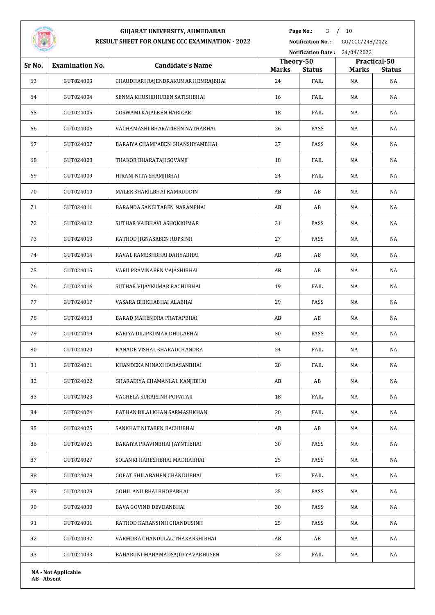

**Page No.:** / 10

**Notification No. :** GU/CCC/248/2022

| <b>STATISTICS</b> |                            |                                    |                           | <b>Notification Date:</b> | 24/04/2022   |                               |
|-------------------|----------------------------|------------------------------------|---------------------------|---------------------------|--------------|-------------------------------|
| Sr No.            | <b>Examination No.</b>     | <b>Candidate's Name</b>            | Theory-50<br><b>Marks</b> | <b>Status</b>             | <b>Marks</b> | Practical-50<br><b>Status</b> |
| 63                | GUT024003                  | CHAUDHARI RAJENDRAKUMAR HEMRAJBHAI | 24                        | FAIL                      | NA           | NA                            |
| 64                | GUT024004                  | SENMA KHUSHBHUBEN SATISHBHAI       | 16                        | FAIL                      | NA           | NA                            |
| 65                | GUT024005                  | GOSWAMI KAJALBEN HARIGAR           | 18                        | FAIL                      | NA           | NA                            |
| 66                | GUT024006                  | VAGHAMASHI BHARATIBEN NATHABHAI    | 26                        | PASS                      | NA           | NA                            |
| 67                | GUT024007                  | BARAIYA CHAMPABEN GHANSHYAMBHAI    | 27                        | PASS                      | NA           | NA                            |
| 68                | GUT024008                  | THAKOR BHARATAJI SOVANJI           | 18                        | FAIL                      | NA           | NA                            |
| 69                | GUT024009                  | HIRANI NITA SHAMJIBHAI             | 24                        | FAIL                      | NA           | NA                            |
| 70                | GUT024010                  | MALEK SHAKILBHAI KAMRUDDIN         | AB                        | AB                        | NA           | NA                            |
| 71                | GUT024011                  | BARANDA SANGITABEN NARANBHAI       | AB                        | AB                        | NA           | NA                            |
| 72                | GUT024012                  | SUTHAR VAIBHAVI ASHOKKUMAR         | 31                        | PASS                      | NA           | NA                            |
| 73                | GUT024013                  | RATHOD JIGNASABEN RUPSINH          | 27                        | PASS                      | NA           | NA                            |
| 74                | GUT024014                  | RAVAL RAMESHBHAI DAHYABHAI         | AB                        | AB                        | NA           | NA                            |
| 75                | GUT024015                  | VARU PRAVINABEN VAJASHIBHAI        | AB                        | AB                        | NA           | NA                            |
| 76                | GUT024016                  | SUTHAR VIJAYKUMAR BACHUBHAI        | 19                        | FAIL                      | NA           | NA                            |
| 77                | GUT024017                  | VASARA BHIKHABHAI ALABHAI          | 29                        | PASS                      | NA           | NA                            |
| 78                | GUT024018                  | BARAD MAHENDRA PRATAPBHAI          | AB                        | AB                        | NA           | NA                            |
| 79                | GUT024019                  | BARIYA DILIPKUMAR DHULABHAI        | 30                        | PASS                      | NA           | NA                            |
| 80                | GUT024020                  | KANADE VISHAL SHARADCHANDRA        | 24                        | FAIL                      | NA           | NA                            |
| 81                | GUT024021                  | KHANDEKA MINAXI KARASANBHAI        | 20                        | FAIL                      | NA           | NA                            |
| 82                | GUT024022                  | GHARADIYA CHAMANLAL KANJIBHAI      | AB                        | $\mathbf{A}\mathbf{B}$    | NA           | NA                            |
| 83                | GUT024023                  | VAGHELA SURAJSINH POPATAJI         | 18                        | FAIL                      | NA           | NA                            |
| 84                | GUT024024                  | PATHAN BILALKHAN SARMASHKHAN       | 20                        | FAIL                      | NA           | NA                            |
| 85                | GUT024025                  | SANKHAT NITABEN BACHUBHAI          | AB                        | AB                        | NA           | NA                            |
| 86                | GUT024026                  | BARAIYA PRAVINBHAI JAYNTIBHAI      | 30                        | PASS                      | NA           | NA                            |
| 87                | GUT024027                  | SOLANKI HARESHBHAI MADHABHAI       | 25                        | PASS                      | NA           | NA                            |
| 88                | GUT024028                  | GOPAT SHILABAHEN CHANDUBHAI        | 12                        | FAIL                      | NA           | NA                            |
| 89                | GUT024029                  | GOHIL ANILBHAI BHOPABHAI           | 25                        | PASS                      | NA           | NA                            |
| 90                | GUT024030                  | BAVA GOVIND DEVDANBHAI             | 30                        | PASS                      | NA           | NA                            |
| 91                | GUT024031                  | RATHOD KARANSINH CHANDUSINH        | 25                        | PASS                      | NA           | NA                            |
| 92                | GUT024032                  | VARMORA CHANDULAL THAKARSHIBHAI    | AB                        | AB                        | NA           | NA                            |
| 93                | GUT024033                  | BAHARUNI MAHAMADSAJID YAVARHUSEN   | 22                        | FAIL                      | NA           | NA                            |
|                   | <b>NA - Not Applicable</b> |                                    |                           |                           |              |                               |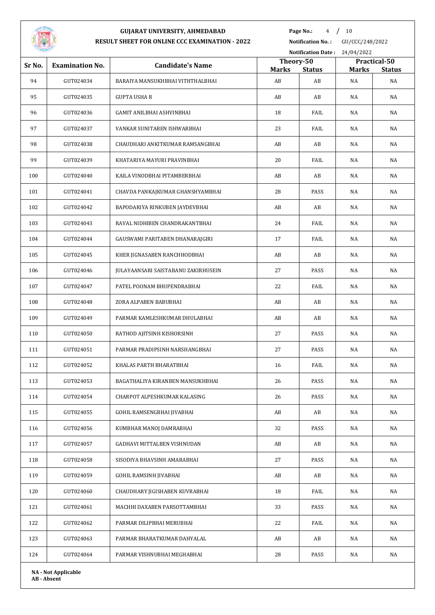

**Page No.:** / 10

**Notification No. :** GU/CCC/248/2022

|        |                            |                                     |                    |                     | Notification Date: 24/04/2022 |                     |  |  |
|--------|----------------------------|-------------------------------------|--------------------|---------------------|-------------------------------|---------------------|--|--|
| Sr No. | <b>Examination No.</b>     | <b>Candidate's Name</b>             | Theory-50          |                     |                               | Practical-50        |  |  |
| 94     | GUT024034                  | BARAIYA MANSUKHBHAI VITHTHALBHAI    | <b>Marks</b><br>AB | <b>Status</b><br>AB | <b>Marks</b><br>NA            | <b>Status</b><br>NA |  |  |
| 95     | GUT024035                  | <b>GUPTA USHA R</b>                 | AB                 | AB                  | NA                            | NA                  |  |  |
| 96     | GUT024036                  | GAMIT ANILBHAI ASHVINBHAI           | 18                 | FAIL                | NA                            | NA                  |  |  |
| 97     | GUT024037                  | VANKAR SUNITABEN ISHWARBHAI         | 23                 | FAIL                | NA                            | NA                  |  |  |
| 98     | GUT024038                  | CHAUDHARI ANKITKUMAR RAMSANGBHAI    | AB                 | AB                  | NA                            | NA                  |  |  |
| 99     | GUT024039                  | KHATARIYA MAYURI PRAVINBHAI         | 20                 | FAIL                | NA                            | NA                  |  |  |
| 100    | GUT024040                  | KAILA VINODBHAI PITAMBERBHAI        | AB                 | AB                  | NA                            | NA                  |  |  |
| 101    | GUT024041                  | CHAVDA PANKAJKUMAR GHANSHYAMBHAI    | 28                 | PASS                | NA                            | NA                  |  |  |
| 102    | GUT024042                  | BAPODARIYA RINKUBEN JAYDEVBHAI      | AB                 | AB                  | NA                            | NA                  |  |  |
| 103    | GUT024043                  | RAVAL NIDHIBEN CHANDRAKANTBHAI      | 24                 | FAIL                | NA                            | NA                  |  |  |
| 104    | GUT024044                  | GAUSWAMI PARITABEN DHANARAJGIRI     | 17                 | FAIL                | NA                            | NA                  |  |  |
| 105    | GUT024045                  | KHER JIGNASABEN RANCHHODBHAI        | AB                 | AB                  | NA                            | NA                  |  |  |
| 106    | GUT024046                  | JULAYAANSARI SAISTABANU ZAKIRHUSEIN | 27                 | PASS                | NA                            | NA                  |  |  |
| 107    | GUT024047                  | PATEL POONAM BHUPENDRABHAI          | 22                 | FAIL                | NA                            | NA                  |  |  |
| 108    | GUT024048                  | ZORA ALPABEN BABUBHAI               | AB                 | AB                  | NA                            | NA                  |  |  |
| 109    | GUT024049                  | PARMAR KAMLESHKUMAR DHULABHAI       | AB                 | AB                  | NA                            | NA                  |  |  |
| 110    | GUT024050                  | RATHOD AJITSINH KISHORSINH          | 27                 | PASS                | NA                            | NA                  |  |  |
| 111    | GUT024051                  | PARMAR PRADIPSINH NARSHANGBHAI      | 27                 | PASS                | NA                            | NA                  |  |  |
| 112    | GUT024052                  | KHALAS PARTH BHARATBHAI             | 16                 | FAIL                | NA                            | NA                  |  |  |
| 113    | GUT024053                  | BAGATHALIYA KIRANBEN MANSUKHBHAI    | 26                 | PASS                | NA                            | NA                  |  |  |
| 114    | GUT024054                  | CHARPOT ALPESHKUMAR KALASING        | 26                 | PASS                | NA                            | NA                  |  |  |
| 115    | GUT024055                  | GOHIL RAMSENGBHAI JIVABHAI          | AB                 | AB                  | NA                            | NA                  |  |  |
| 116    | GUT024056                  | KUMBHAR MANOJ DAMRABHAI             | 32                 | PASS                | NA                            | NA                  |  |  |
| 117    | GUT024057                  | GADHAVI MITTALBEN VISHNUDAN         | AB                 | AB                  | NA                            | NA                  |  |  |
| 118    | GUT024058                  | SISODIYA BHAVSINH AMARABHAI         | 27                 | PASS                | NA                            | NA                  |  |  |
| 119    | GUT024059                  | GOHIL RAMSINH JIVABHAI              | AB                 | AB                  | NA                            | NA                  |  |  |
| 120    | GUT024060                  | CHAUDHARY JIGISHABEN KUVRABHAI      | 18                 | FAIL                | NA                            | NA                  |  |  |
| 121    | GUT024061                  | MACHHI DAXABEN PARSOTTAMBHAI        | 33                 | PASS                | NA                            | NA                  |  |  |
| 122    | GUT024062                  | PARMAR DILIPBHAI MERUBHAI           | 22                 | FAIL                | NA                            | NA                  |  |  |
| 123    | GUT024063                  | PARMAR BHARATKUMAR DAHYALAL         | AB                 | AB                  | NA                            | NA                  |  |  |
| 124    | GUT024064                  | PARMAR VISHNUBHAI MEGHABHAI         | 28                 | PASS                | NA                            | NA                  |  |  |
|        | <b>NA - Not Applicable</b> |                                     |                    |                     |                               |                     |  |  |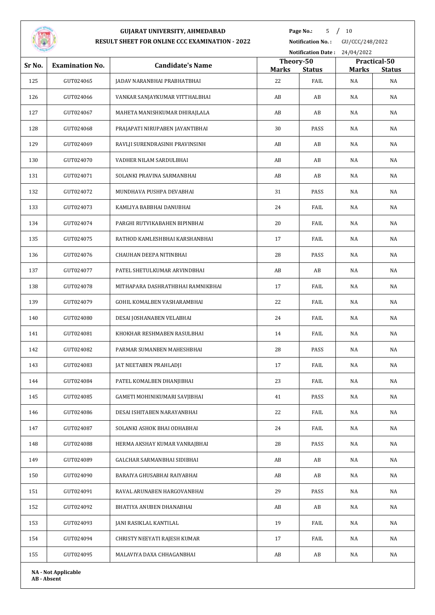

**Page No.:** 5 / 10

**Notification No. :** GU/CCC/248/2022

|        |                            |                                   |                    | <b>Notification Date:</b> | 24/04/2022         |                     |  |  |
|--------|----------------------------|-----------------------------------|--------------------|---------------------------|--------------------|---------------------|--|--|
| Sr No. | <b>Examination No.</b>     | <b>Candidate's Name</b>           | Theory-50          |                           |                    | Practical-50        |  |  |
| 125    | GUT024065                  | JADAV NARANBHAI PRABHATBHAI       | <b>Marks</b><br>22 | <b>Status</b><br>FAIL     | <b>Marks</b><br>NA | <b>Status</b><br>NA |  |  |
| 126    | GUT024066                  | VANKAR SANJAYKUMAR VITTHALBHAI    | AB                 | AB                        | NA                 | NA                  |  |  |
| 127    | GUT024067                  | MAHETA MANISHKUMAR DHIRAJLALA     | AB                 | AB                        | NA                 | NA                  |  |  |
| 128    | GUT024068                  | PRAJAPATI NIRUPABEN JAYANTIBHAI   | 30                 | PASS                      | NA                 | NA                  |  |  |
| 129    | GUT024069                  |                                   | AB                 | AB                        | <b>NA</b>          | NA                  |  |  |
|        |                            | RAVLJI SURENDRASINH PRAVINSINH    |                    |                           |                    |                     |  |  |
| 130    | GUT024070                  | VADHER NILAM SARDULBHAI           | AB                 | AB                        | NA                 | NA                  |  |  |
| 131    | GUT024071                  | SOLANKI PRAVINA SARMANBHAI        | AB                 | AB                        | NA                 | NA                  |  |  |
| 132    | GUT024072                  | MUNDHAVA PUSHPA DEVABHAI          | 31                 | PASS                      | NA                 | NA                  |  |  |
| 133    | GUT024073                  | KAMLIYA BABBHAI DANUBHAI          | 24                 | FAIL                      | NA                 | NA                  |  |  |
| 134    | GUT024074                  | PARGHI RUTVIKABAHEN BIPINBHAI     | 20                 | FAIL                      | <b>NA</b>          | NA                  |  |  |
| 135    | GUT024075                  | RATHOD KAMLESHBHAI KARSHANBHAI    | 17                 | FAIL                      | NA                 | NA                  |  |  |
| 136    | GUT024076                  | CHAUHAN DEEPA NITINBHAI           | 28                 | PASS                      | NA                 | NA                  |  |  |
| 137    | GUT024077                  | PATEL SHETULKUMAR ARVINDBHAI      | AB                 | AB                        | NA                 | NA                  |  |  |
| 138    | GUT024078                  | MITHAPARA DASHRATHBHAI RAMNIKBHAI | 17                 | FAIL                      | NA                 | NA                  |  |  |
| 139    | GUT024079                  | GOHIL KOMALBEN VASHARAMBHAI       | 22                 | FAIL                      | NA                 | NA                  |  |  |
| 140    | GUT024080                  | DESAI JOSHANABEN VELABHAI         | 24                 | FAIL                      | NA                 | NA                  |  |  |
| 141    | GUT024081                  | KHOKHAR RESHMABEN RASULBHAI       | 14                 | FAIL                      | NA                 | NA                  |  |  |
| 142    | GUT024082                  | PARMAR SUMANBEN MAHESHBHAI        | 28                 | PASS                      | NA                 | NA                  |  |  |
| 143    | GUT024083                  | JAT NEETABEN PRAHLADJI            | 17                 | FAIL                      | NA                 | NA                  |  |  |
| 144    | GUT024084                  | PATEL KOMALBEN DHANJIBHAI         | 23                 | FAIL                      | NA                 | NA                  |  |  |
| 145    | GUT024085                  | GAMETI MOHINIKUMARI SAVJIBHAI     | 41                 | PASS                      | NA                 | NA                  |  |  |
| 146    | GUT024086                  | DESAI ISHITABEN NARAYANBHAI       | 22                 | FAIL                      | NA                 | NA                  |  |  |
| 147    | GUT024087                  | SOLANKI ASHOK BHAI ODHABHAI       | 24                 | FAIL                      | NA                 | NA                  |  |  |
| 148    | GUT024088                  | HERMA AKSHAY KUMAR VANRAJBHAI     | 28                 | PASS                      | NA                 | NA                  |  |  |
| 149    | GUT024089                  | GALCHAR SARMANBHAI SIDIBHAI       | AB                 | AB                        | NA                 | NA                  |  |  |
| 150    | GUT024090                  | BARAIYA GHUSABHAI RAIYABHAI       | AB                 | AB                        | NA                 | NA                  |  |  |
| 151    | GUT024091                  | RAVAL ARUNABEN HARGOVANBHAI       | 29                 | PASS                      | NA                 | NA                  |  |  |
| 152    | GUT024092                  | BHATIYA ANUBEN DHANABHAI          | AB                 | AB                        | NA                 | NA                  |  |  |
| 153    | GUT024093                  | JANI RASIKLAL KANTILAL            | 19                 | FAIL                      | NA                 | NA                  |  |  |
| 154    | GUT024094                  | CHRISTY NEEYATI RAJESH KUMAR      | 17                 | FAIL                      | NA                 | NA                  |  |  |
| 155    | GUT024095                  | MALAVIYA DAXA CHHAGANBHAI         | AB                 | AB                        | NA                 | NA                  |  |  |
|        | <b>NA - Not Applicable</b> |                                   |                    |                           |                    |                     |  |  |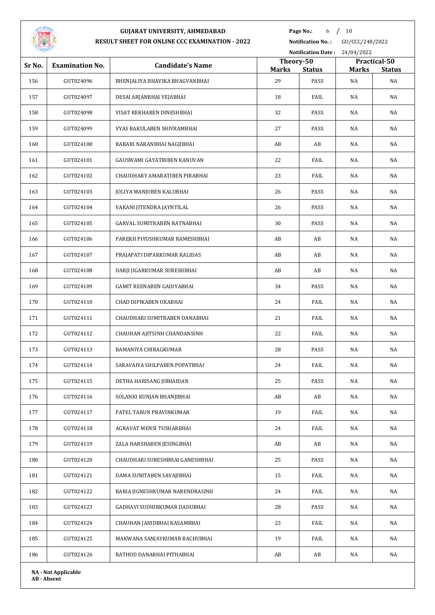

**Page No.:** /  $10$ 

**Notification No. :** GU/CCC/248/2022

| <b>STATISTICS</b><br><b>Notification Date:</b><br>24/04/2022 |                        |                                  |                    |                       |                    |                     |
|--------------------------------------------------------------|------------------------|----------------------------------|--------------------|-----------------------|--------------------|---------------------|
| Sr No.                                                       | <b>Examination No.</b> | <b>Candidate's Name</b>          | Theory-50          |                       |                    | Practical-50        |
| 156                                                          | GUT024096              | BHENJALIYA BHAVIKA BHAGVANBHAI   | <b>Marks</b><br>29 | <b>Status</b><br>PASS | <b>Marks</b><br>NA | <b>Status</b><br>NA |
| 157                                                          | GUT024097              | DESAI ARJANBHAI VEJABHAI         | 18                 | FAIL                  | NA                 | NA                  |
| 158                                                          | GUT024098              | VISAT REKHABEN DINESHBHAI        | 32                 | PASS                  | NA                 | NA                  |
| 159                                                          | GUT024099              | VYAS BAKULABEN SHIVRAMBHAI       | 27                 | PASS                  | NA                 | NA                  |
| 160                                                          | GUT024100              | RABARI NARANBHAI NAGJIBHAI       | AB                 | AB                    | NA                 | NA                  |
| 161                                                          | GUT024101              | GAUSWAMI GAYATRIBEN KANUVAN      | 22                 | FAIL                  | NA                 | NA                  |
| 162                                                          | GUT024102              | CHAUDHARY AMARATIBEN PIRABHAI    | 23                 | FAIL                  | NA                 | NA                  |
| 163                                                          | GUT024103              | JOLIYA MANJUBEN KALUBHAI         | 26                 | PASS                  | NA                 | NA                  |
| 164                                                          | GUT024104              | VAKANI JITENDRA JAYNTILAL        | 26                 | PASS                  | NA                 | NA                  |
| 165                                                          | GUT024105              | GARVAL SUMITRABEN RATNABHAI      | 30                 | PASS                  | NA                 | NA                  |
| 166                                                          | GUT024106              | PAREKH PIYUSHKUMAR RAMESHBHAI    | AB                 | AB                    | NA                 | NA                  |
| 167                                                          | GUT024107              | PRAJAPATI DIPAKKUMAR KALIDAS     | AB                 | AB                    | NA                 | NA                  |
| 168                                                          | GUT024108              | DARJI JIGARKUMAR SURESHBHAI      | AB                 | AB                    | NA                 | NA                  |
| 169                                                          | GUT024109              | <b>GAMIT REENABEN GADIYABHAI</b> | 34                 | PASS                  | NA                 | NA                  |
| 170                                                          | GUT024110              | CHAD DIPIKABEN UKABHAI           | 24                 | FAIL                  | NA                 | NA                  |
| 171                                                          | GUT024111              | CHAUDHARI SUMITRABEN DANABHAI    | 21                 | FAIL                  | NA                 | NA                  |
| 172                                                          | GUT024112              | CHAUHAN AJITSINH CHANDANSINH     | 22                 | FAIL                  | NA                 | NA                  |
| 173                                                          | GUT024113              | BAMANIYA CHIRAGKUMAR             | 28                 | PASS                  | NA                 | NA                  |
| 174                                                          | GUT024114              | SARAVAIYA SHILPABEN POPATBHAI    | 24                 | FAIL                  | NA                 | NA                  |
| 175                                                          | GUT024115              | DETHA HARISANG JIBHAIDAN         | 25                 | PASS                  | NA                 | NA                  |
| 176                                                          | GUT024116              | SOLANKI KUNJAN BHANJIBHAI        | AB                 | AB                    | NA                 | NA                  |
| 177                                                          | GUT024117              | PATEL TARUN PRAVINKUMAR          | 19                 | FAIL                  | NA                 | NA                  |
| 178                                                          | GUT024118              | AGRAVAT MENSI TUSHARBHAI         | 24                 | FAIL                  | NA                 | NA                  |
| 179                                                          | GUT024119              | ZALA HARSHABEN JESINGBHAI        | AB                 | AB                    | NA                 | NA                  |
| 180                                                          | GUT024120              | CHAUDHARI SURESHBHAI GANESHBHAI  | 25                 | PASS                  | NA                 | NA                  |
| 181                                                          | GUT024121              | DAMA SUNITABEN SAVAJIBHAI        | 15                 | FAIL                  | NA                 | NA                  |
| 182                                                          | GUT024122              | BARIA JIGNESHKUMAR NARENDRASINH  | 24                 | FAIL                  | NA                 | NA                  |
| 183                                                          | GUT024123              | GADHAVI SUDHIRKUMAR DADUBHAI     | 28                 | PASS                  | NA                 | NA                  |
| 184                                                          | GUT024124              | CHAUHAN JAHIDBHAI KASAMBHAI      | 23                 | FAIL                  | NA                 | NA                  |
| 185                                                          | GUT024125              | MAKWANA SANJAYKUMAR BACHUBHAI    | 19                 | FAIL                  | NA                 | NA                  |
| 186                                                          | GUT024126              | RATHOD DANABHAI PITHABHAI        | AB                 | AB                    | NA                 | NA                  |
|                                                              |                        |                                  |                    |                       |                    |                     |

**NA - Not Applicable AB - Absent**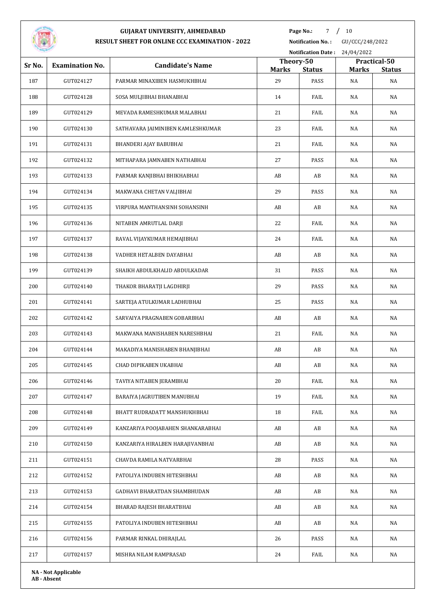

Page No.: 7 / 10

**Notification No. :** GU/CCC/248/2022

|        |                        |                                   |                    | Notification Date: 24/04/2022 |                    |                     |
|--------|------------------------|-----------------------------------|--------------------|-------------------------------|--------------------|---------------------|
| Sr No. | <b>Examination No.</b> | <b>Candidate's Name</b>           | Theory-50          |                               |                    | Practical-50        |
| 187    | GUT024127              | PARMAR MINAXIBEN HASMUKHBHAI      | <b>Marks</b><br>29 | <b>Status</b><br>PASS         | <b>Marks</b><br>NA | <b>Status</b><br>NA |
| 188    | GUT024128              | SOSA MULJIBHAI BHANABHAI          | 14                 | FAIL                          | NA                 | NA                  |
| 189    | GUT024129              | MEVADA RAMESHKUMAR MALABHAI       | 21                 | FAIL                          | NA                 | NA                  |
| 190    | GUT024130              | SATHAVARA JAIMINIBEN KAMLESHKUMAR | 23                 | FAIL                          | NA                 | NA                  |
|        |                        |                                   |                    |                               |                    |                     |
| 191    | GUT024131              | BHANDERI AJAY BABUBHAI            | 21                 | FAIL                          | NA                 | NA                  |
| 192    | GUT024132              | MITHAPARA JAMNABEN NATHABHAI      | 27                 | PASS                          | NA                 | NA                  |
| 193    | GUT024133              | PARMAR KANJIBHAI BHIKHABHAI       | AB                 | AB                            | NA                 | NA                  |
| 194    | GUT024134              | MAKWANA CHETAN VALJIBHAI          | 29                 | PASS                          | NA                 | NA                  |
| 195    | GUT024135              | VIRPURA MANTHANSINH SOHANSINH     | AB                 | AB                            | NA                 | NA                  |
| 196    | GUT024136              | NITABEN AMRUTLAL DARJI            | 22                 | FAIL                          | NA                 | NA                  |
| 197    | GUT024137              | RAVAL VIJAYKUMAR HEMAJIBHAI       | 24                 | FAIL                          | NA                 | NA                  |
| 198    | GUT024138              | VADHER HETALBEN DAYABHAI          | AB                 | AB                            | NA                 | NA                  |
| 199    | GUT024139              | SHAIKH ABDULKHALID ABDULKADAR     | 31                 | PASS                          | NA                 | NA                  |
| 200    | GUT024140              | THAKOR BHARATJI LAGDHIRJI         | 29                 | PASS                          | NA                 | NA                  |
| 201    | GUT024141              | SARTEJA ATULKUMAR LADHUBHAI       | 25                 | PASS                          | NA                 | NA                  |
| 202    | GUT024142              | SARVAIYA PRAGNABEN GOBARBHAI      | AB                 | AB                            | NA                 | NA                  |
| 203    | GUT024143              | MAKWANA MANISHABEN NARESHBHAI     | 21                 | FAIL                          | NA                 | NA                  |
| 204    | GUT024144              | MAKADIYA MANISHABEN BHANJIBHAI    | AB                 | AB                            | NA                 | NA                  |
| 205    | GUT024145              | CHAD DIPIKABEN UKABHAI            | AB                 | AB                            | NA                 | NA                  |
| 206    | GUT024146              | TAVIYA NITABEN JERAMBHAI          | 20                 | FAIL                          | NA                 | NA                  |
| 207    | GUT024147              | BARAIYA JAGRUTIBEN MANUBHAI       | 19                 | FAIL                          | NA                 | NA                  |
| 208    | GUT024148              | BHATT RUDRADATT MANSHUKHBHAI      | 18                 | FAIL                          | NA                 | NA                  |
| 209    | GUT024149              | KANZARIYA POOJABAHEN SHANKARABHAI | AB                 | AB                            | NA                 | NA                  |
| 210    | GUT024150              | KANZARIYA HIRALBEN HARAJIVANBHAI  | AB                 | AB                            | NA                 | NA                  |
| 211    | GUT024151              | CHAVDA RAMILA NATVARBHAI          | 28                 | PASS                          | NA                 | NA                  |
| 212    | GUT024152              | PATOLIYA INDUBEN HITESHBHAI       | AB                 | AB                            | NA                 | NA                  |
| 213    | GUT024153              | GADHAVI BHARATDAN SHAMBHUDAN      | AB                 | AB                            | NA                 | NA                  |
| 214    | GUT024154              | BHARAD RAJESH BHARATBHAI          | AB                 | AB                            | NA                 | NA                  |
| 215    | GUT024155              | PATOLIYA INDUBEN HITESHBHAI       | AB                 | AB                            | NA                 | NA                  |
| 216    | GUT024156              | PARMAR RINKAL DHIRAJLAL           | 26                 | PASS                          | NA                 | NA                  |
| 217    | GUT024157              | MISHRA NILAM RAMPRASAD            | 24                 | FAIL                          | NA                 | NA                  |
|        |                        |                                   |                    |                               |                    |                     |

**NA - Not Applicable AB - Absent**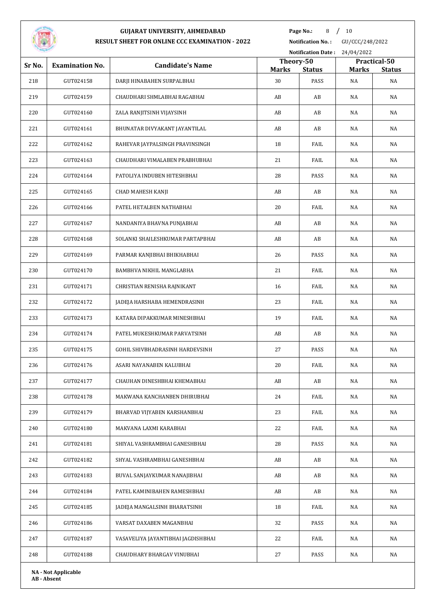

Page No.: 8 / 10

**Notification No. :** GU/CCC/248/2022

|        |                            |                                    |                    | <b>Notification Date:</b> | 24/04/2022         |                     |
|--------|----------------------------|------------------------------------|--------------------|---------------------------|--------------------|---------------------|
| Sr No. | <b>Examination No.</b>     | <b>Candidate's Name</b>            | Theory-50          |                           |                    | Practical-50        |
| 218    | GUT024158                  | DARJI HINABAHEN SURPALBHAI         | <b>Marks</b><br>30 | <b>Status</b><br>PASS     | <b>Marks</b><br>NA | <b>Status</b><br>NA |
| 219    | GUT024159                  | CHAUDHARI SHMLABHAI RAGABHAI       | AB                 | AB                        | NA                 | NA                  |
| 220    | GUT024160                  | ZALA RANJITSINH VIJAYSINH          | AB                 | AB                        | NA                 | NA                  |
| 221    | GUT024161                  | BHUNATAR DIVYAKANT JAYANTILAL      | AB                 | AB                        | NA                 | NA                  |
| 222    | GUT024162                  | RAHEVAR JAYPALSINGH PRAVINSINGH    | 18                 | FAIL                      | NA                 | NA                  |
| 223    | GUT024163                  | CHAUDHARI VIMALABEN PRABHUBHAI     | 21                 | FAIL                      | NA                 | NA                  |
| 224    | GUT024164                  | PATOLIYA INDUBEN HITESHBHAI        | 28                 | PASS                      | NA                 | NA                  |
| 225    | GUT024165                  | CHAD MAHESH KANJI                  | AB                 | AB                        | NA                 | NA                  |
| 226    | GUT024166                  | PATEL HETALBEN NATHABHAI           | 20                 | FAIL                      | NA                 | NA                  |
| 227    | GUT024167                  | NANDANIYA BHAVNA PUNJABHAI         | AB                 | AB                        | NA                 | NA                  |
| 228    | GUT024168                  | SOLANKI SHAILESHKUMAR PARTAPBHAI   | AB                 | AB                        | NA                 | NA                  |
| 229    | GUT024169                  | PARMAR KANJIBHAI BHIKHABHAI        | 26                 | PASS                      | NA                 | NA                  |
| 230    | GUT024170                  | BAMBHVA NIKHIL MANGLABHA           | 21                 | FAIL                      | NA                 | NA                  |
| 231    | GUT024171                  | CHRISTIAN RENISHA RAJNIKANT        | 16                 | FAIL                      | NA                 | NA                  |
| 232    | GUT024172                  | JADEJA HARSHABA HEMENDRASINH       | 23                 | FAIL                      | NA                 | NA                  |
| 233    | GUT024173                  | KATARA DIPAKKUMAR MINESHBHAI       | 19                 | FAIL                      | NA                 | NA                  |
| 234    | GUT024174                  | PATEL MUKESHKUMAR PARVATSINH       | AB                 | AB                        | NA                 | NA                  |
| 235    | GUT024175                  | GOHIL SHIVBHADRASINH HARDEVSINH    | 27                 | PASS                      | NA                 | NA                  |
| 236    | GUT024176                  | ASARI NAYANABEN KALUBHAI           | 20                 | FAIL                      | NA                 | NA                  |
| 237    | GUT024177                  | CHAUHAN DINESHBHAI KHEMABHAI       | AB                 | AB                        | NA                 | NA                  |
| 238    | GUT024178                  | MAKWANA KANCHANBEN DHIRUBHAI       | 24                 | FAIL                      | NA                 | NA                  |
| 239    | GUT024179                  | BHARVAD VIJYABEN KARSHANBHAI       | 23                 | FAIL                      | NA                 | NA                  |
| 240    | GUT024180                  | MAKVANA LAXMI KARABHAI             | 22                 | FAIL                      | NA                 | NA                  |
| 241    | GUT024181                  | SHIYAL VASHRAMBHAI GANESHBHAI      | 28                 | PASS                      | NA                 | NA                  |
| 242    | GUT024182                  | SHYAL VASHRAMBHAI GANESHBHAI       | AB                 | AB                        | NA                 | NA                  |
| 243    | GUT024183                  | BUVAL SANJAYKUMAR NANAJIBHAI       | AB                 | AB                        | NA                 | NA                  |
| 244    | GUT024184                  | PATEL KAMINIBAHEN RAMESHBHAI       | AB                 | AB                        | NA                 | NA                  |
| 245    | GUT024185                  | JADEJA MANGALSINH BHARATSINH       | 18                 | FAIL                      | NA                 | NA                  |
| 246    | GUT024186                  | VARSAT DAXABEN MAGANBHAI           | 32                 | PASS                      | NA                 | NA                  |
| 247    | GUT024187                  | VASAVELIYA JAYANTIBHAI JAGDISHBHAI | 22                 | FAIL                      | NA                 | NA                  |
| 248    | GUT024188                  | CHAUDHARY BHARGAV VINUBHAI         | 27                 | PASS                      | NA                 | NA                  |
|        | <b>NA - Not Applicable</b> |                                    |                    |                           |                    |                     |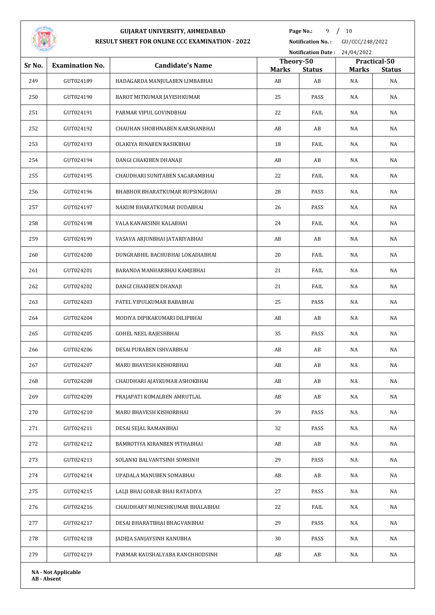

Page No.: 9 / 10

**Notification No. :** GU/CCC/248/2022

| <b>STATISTICS</b> |                            |                                  |                    | <b>Notification Date:</b> | 24/04/2022         |                     |
|-------------------|----------------------------|----------------------------------|--------------------|---------------------------|--------------------|---------------------|
| Sr No.            | <b>Examination No.</b>     | <b>Candidate's Name</b>          | Theory-50          |                           |                    | Practical-50        |
| 249               | GUT024189                  | HADAGARDA MANJULABEN LIMBABHAI   | <b>Marks</b><br>AB | <b>Status</b><br>AB       | <b>Marks</b><br>NA | <b>Status</b><br>NA |
| 250               | GUT024190                  | BAROT MITKUMAR JAYESHKUMAR       | 25                 | PASS                      | NA                 | NA                  |
| 251               | GUT024191                  | PARMAR VIPUL GOVINDBHAI          | 22                 | FAIL                      | NA                 | NA                  |
| 252               | GUT024192                  | CHAUHAN SHOBHNABEN KARSHANBHAI   | AB                 | AB                        | NA                 | NA                  |
| 253               | GUT024193                  | OLAKIYA RINABEN RASIKBHAI        | 18                 | FAIL                      | NA                 | NA                  |
| 254               | GUT024194                  | DANGI CHAKIBEN DHANAJI           | AB                 | AB                        | NA                 | NA                  |
| 255               | GUT024195                  | CHAUDHARI SUNITABEN SAGARAMBHAI  | 22                 | FAIL                      | NA                 | NA                  |
| 256               | GUT024196                  | BHABHOR BHARATKUMAR RUPSINGBHAI  | 28                 | PASS                      | NA                 | NA                  |
|                   | GUT024197                  |                                  |                    |                           |                    |                     |
| 257               |                            | NAKUM BHARATKUMAR DUDABHAI       | 26                 | PASS                      | NA                 | NA                  |
| 258               | GUT024198                  | VALA KANAKSINH KALABHAI          | 24                 | FAIL                      | NA                 | NA                  |
| 259               | GUT024199                  | VASAVA ARJUNBHAI JATARIYABHAI    | AB                 | AB                        | NA                 | NA                  |
| 260               | GUT024200                  | DUNGRABHIL BACHUBHAI LOKADIABHAI | 20                 | FAIL                      | NA                 | NA                  |
| 261               | GUT024201                  | BARANDA MANHARBHAI KAMJIBHAI     | 21                 | FAIL                      | NA                 | NA                  |
| 262               | GUT024202                  | DANGI CHAKIBEN DHANAJI           | 21                 | FAIL                      | NA                 | NA                  |
| 263               | GUT024203                  | PATEL VIPULKUMAR BABABHAI        | 25                 | PASS                      | NA                 | NA                  |
| 264               | GUT024204                  | MODIYA DIPIKAKUMARI DILIPBHAI    | AB                 | AB                        | NA                 | NA                  |
| 265               | GUT024205                  | <b>GOHEL NEEL RAJESHBHAI</b>     | 35                 | PASS                      | NA                 | NA                  |
| 266               | GUT024206                  | DESAI PURABEN ISHVARBHAI         | AB                 | AB                        | NA                 | NA                  |
| 267               | GUT024207                  | MARU BHAVESH KISHORBHAI          | AB                 | AB                        | NA                 | NA                  |
| 268               | GUT024208                  | CHAUDHARI AJAYKUMAR ASHOKBHAI    | AB                 | $\mathbf{A}\mathbf{B}$    | NA                 | NA                  |
| 269               | GUT024209                  | PRAJAPATI KOMALBEN AMRUTLAL      | AB                 | AB                        | NA                 | NA                  |
| 270               | GUT024210                  | MARU BHAVESH KISHORBHAI          | 39                 | PASS                      | NA                 | NA                  |
| 271               | GUT024211                  | DESAI SEJAL RAMANBHAI            | 32                 | PASS                      | NA                 | NA                  |
| 272               | GUT024212                  | BAMROTIYA KIRANBEN PITHABHAI     | AB                 | AB                        | NA                 | NA                  |
| 273               | GUT024213                  | SOLANKI BALVANTSINH SOMSINH      | 29                 | PASS                      | NA                 | NA                  |
| 274               | GUT024214                  | UPADALA MANUBEN SOMABHAI         | AB                 | AB                        | NA                 | NA                  |
| 275               | GUT024215                  | LALJI BHAI GOBAR BHAI RATADIYA   | 27                 | PASS                      | NA                 | NA                  |
| 276               | GUT024216                  | CHAUDHARY MUNESHKUMAR BHALABHAI  | 22                 | FAIL                      | NA                 | NA                  |
| 277               | GUT024217                  | DESAI BHARATBHAI BHAGVANBHAI     | 29                 | PASS                      | NA                 | NA                  |
| 278               | GUT024218                  | JADEJA SANJAYSINH KANUBHA        | 30                 | PASS                      | NA                 | NA                  |
| 279               | GUT024219                  | PARMAR KAUSHALYABA RANCHHODSINH  | AB                 | AB                        | NA                 | NA                  |
|                   | <b>NA - Not Applicable</b> |                                  |                    |                           |                    |                     |